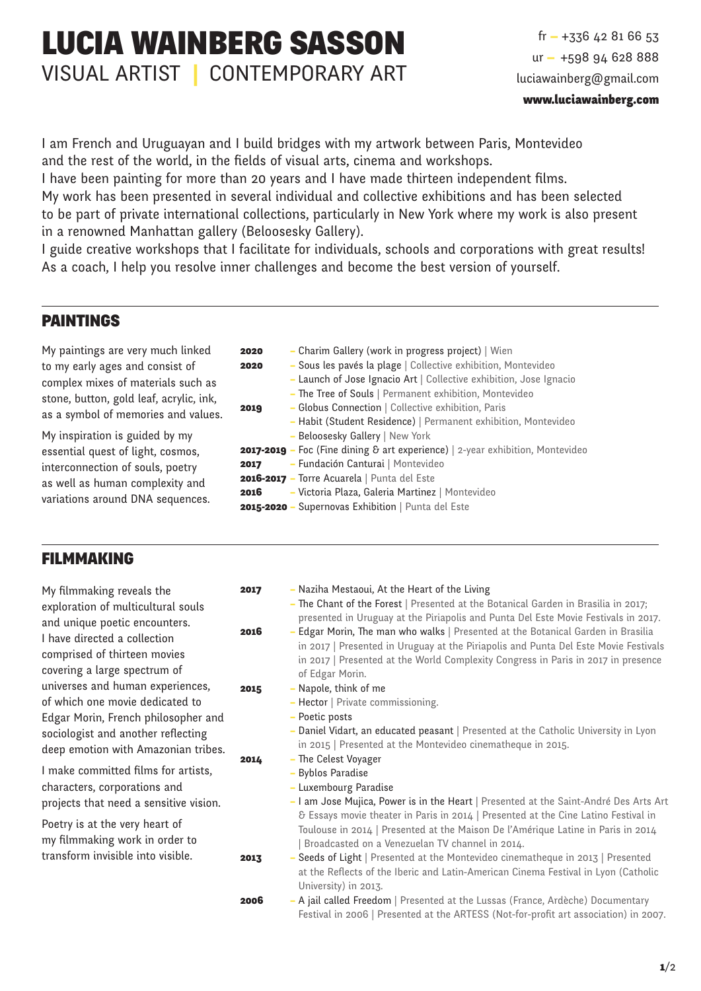# LUCIA WAINBERG SASSON VISUAL ARTIST | CONTEMPORARY ART

 $fr - +33642816653$ ur — +598 94 628 888 luciawainberg@gmail.com

I am French and Uruguayan and I build bridges with my artwork between Paris, Montevideo and the rest of the world, in the fields of visual arts, cinema and workshops.

I have been painting for more than 20 years and I have made thirteen independent films.

My work has been presented in several individual and collective exhibitions and has been selected to be part of private international collections, particularly in New York where my work is also present in a renowned Manhattan gallery (Beloosesky Gallery).

I guide creative workshops that I facilitate for individuals, schools and corporations with great results! As a coach, I help you resolve inner challenges and become the best version of yourself.

# PAINTINGS

My paintings are very much linked to my early ages and consist of complex mixes of materials such as stone, button, gold leaf, acrylic, ink, as a symbol of memories and values.

My inspiration is guided by my essential quest of light, cosmos, interconnection of souls, poetry as well as human complexity and variations around DNA sequences.

- **2020** Charim Gallery (work in progress project) | Wien
- 2020 Sous les pavés la plage | Collective exhibition, Montevideo
	- Launch of Jose Ignacio Art | Collective exhibition, Jose Ignacio
	- The Tree of Souls | Permanent exhibition, Montevideo
- **2019** Globus Connection | Collective exhibition, Paris – Habit (Student Residence) | Permanent exhibition, Montevideo
	- Beloosesky Gallery | New York
- 2017-2019 Foc (Fine dining & art experience) | 2-year exhibition, Montevideo
- 2017 Fundación Canturai | Montevideo
- 2016-2017 Torre Acuarela | Punta del Este
- 2016 Victoria Plaza, Galeria Martinez | Montevideo
- 2015-2020 Supernovas Exhibition | Punta del Este

# FILMMAKING

My filmmaking reveals the exploration of multicultural souls and unique poetic encounters. I have directed a collection comprised of thirteen movies covering a large spectrum of universes and human experiences, of which one movie dedicated to Edgar Morin, French philosopher and sociologist and another reflecting deep emotion with Amazonian tribes.

I make committed films for artists, characters, corporations and projects that need a sensitive vision.

Poetry is at the very heart of my filmmaking work in order to transform invisible into visible.

- **2017** Naziha Mestaoui, At the Heart of the Living
	- The Chant of the Forest | Presented at the Botanical Garden in Brasilia in 2017; presented in Uruguay at the Piriapolis and Punta Del Este Movie Festivals in 2017.
- **2016** Edgar Morin, The man who walks | Presented at the Botanical Garden in Brasilia in 2017 | Presented in Uruguay at the Piriapolis and Punta Del Este Movie Festivals in 2017 | Presented at the World Complexity Congress in Paris in 2017 in presence of Edgar Morin.
- 2015 Napole, think of me
	- Hector | Private commissioning.
	- Poetic posts
	- Daniel Vidart, an educated peasant | Presented at the Catholic University in Lyon in 2015 | Presented at the Montevideo cinematheque in 2015.
- 2014 The Celest Voyager
	- Byblos Paradise
	- Luxembourg Paradise
	- I am Jose Mujica, Power is in the Heart | Presented at the Saint-André Des Arts Art & Essays movie theater in Paris in 2014 | Presented at the Cine Latino Festival in Toulouse in 2014 | Presented at the Maison De l'Amérique Latine in Paris in 2014 | Broadcasted on a Venezuelan TV channel in 2014.
- **2013** Seeds of Light | Presented at the Montevideo cinematheque in 2013 | Presented at the Reflects of the Iberic and Latin-American Cinema Festival in Lyon (Catholic University) in 2013.
- 2006 A jail called Freedom | Presented at the Lussas (France, Ardèche) Documentary Festival in 2006 | Presented at the ARTESS (Not-for-profit art association) in 2007.